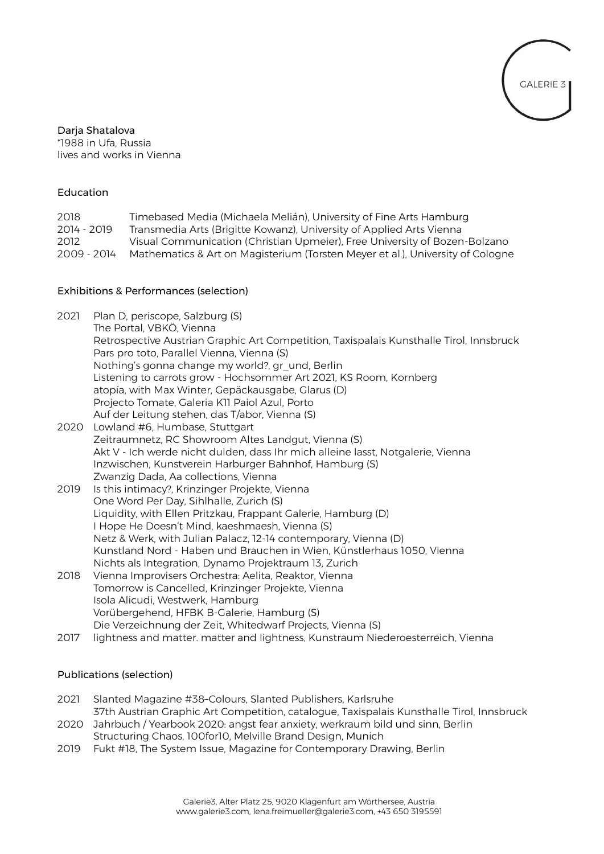

Daria Shatalova \*1988 in Ufa, Russia lives and works in Vienna

# Education

| 2018        | Timebased Media (Michaela Melián), University of Fine Arts Hamburg             |
|-------------|--------------------------------------------------------------------------------|
| 2014 - 2019 | Transmedia Arts (Brigitte Kowanz), University of Applied Arts Vienna           |
| 2012        | Visual Communication (Christian Upmeier), Free University of Bozen-Bolzano     |
| 2009 - 2014 | Mathematics & Art on Magisterium (Torsten Meyer et al.), University of Cologne |

# Exhibitions & Performances (selection)

| 2021 | Plan D, periscope, Salzburg (S)                                                                                 |
|------|-----------------------------------------------------------------------------------------------------------------|
|      | The Portal, VBKÖ, Vienna                                                                                        |
|      | Retrospective Austrian Graphic Art Competition, Taxispalais Kunsthalle Tirol, Innsbruck                         |
|      | Pars pro toto, Parallel Vienna, Vienna (S)                                                                      |
|      | Nothing's gonna change my world?, gr_und, Berlin                                                                |
|      | Listening to carrots grow - Hochsommer Art 2021, KS Room, Kornberg                                              |
|      | atopía, with Max Winter, Gepäckausgabe, Glarus (D)                                                              |
|      | Projecto Tomate, Galeria K11 Paiol Azul, Porto                                                                  |
|      | Auf der Leitung stehen, das T/abor, Vienna (S)                                                                  |
| 2020 | Lowland #6, Humbase, Stuttgart                                                                                  |
|      | Zeitraumnetz, RC Showroom Altes Landgut, Vienna (S)                                                             |
|      | Akt V - Ich werde nicht dulden, dass Ihr mich alleine lasst, Notgalerie, Vienna                                 |
|      | Inzwischen, Kunstverein Harburger Bahnhof, Hamburg (S)                                                          |
| 2019 | Zwanzig Dada, Aa collections, Vienna                                                                            |
|      | Is this intimacy?, Krinzinger Projekte, Vienna                                                                  |
|      | One Word Per Day, Sihlhalle, Zurich (S)                                                                         |
|      | Liquidity, with Ellen Pritzkau, Frappant Galerie, Hamburg (D)<br>I Hope He Doesn't Mind, kaeshmaesh, Vienna (S) |
|      | Netz & Werk, with Julian Palacz, 12-14 contemporary, Vienna (D)                                                 |
|      | Kunstland Nord - Haben und Brauchen in Wien, Künstlerhaus 1050, Vienna                                          |
|      | Nichts als Integration, Dynamo Projektraum 13, Zurich                                                           |
| 2018 | Vienna Improvisers Orchestra: Aelita, Reaktor, Vienna                                                           |
|      | Tomorrow is Cancelled, Krinzinger Projekte, Vienna                                                              |
|      | Isola Alicudi, Westwerk, Hamburg                                                                                |
|      | Vorübergehend, HFBK B-Galerie, Hamburg (S)                                                                      |
|      | Die Verzeichnung der Zeit, Whitedwarf Projects, Vienna (S)                                                      |
| 2017 | lightness and matter. matter and lightness, Kunstraum Niederoesterreich, Vienna                                 |
|      |                                                                                                                 |

# Publications (selection)

- 2021 Slanted Magazine #38–Colours, Slanted Publishers, Karlsruhe 37th Austrian Graphic Art Competition, catalogue, Taxispalais Kunsthalle Tirol, Innsbruck 2020 Jahrbuch / Yearbook 2020: angst fear anxiety, werkraum bild und sinn, Berlin
- Structuring Chaos, 100for10, Melville Brand Design, Munich
- 2019 Fukt #18, The System Issue, Magazine for Contemporary Drawing, Berlin